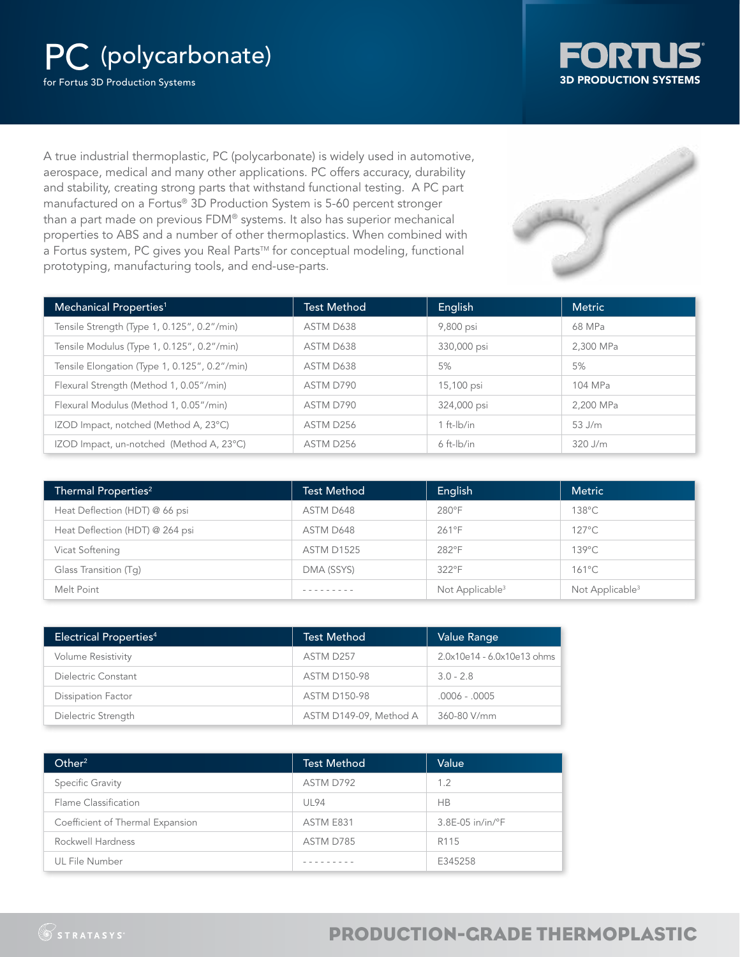# PC (polycarbonate)

for Fortus 3D Production Systems



A true industrial thermoplastic, PC (polycarbonate) is widely used in automotive, aerospace, medical and many other applications. PC offers accuracy, durability and stability, creating strong parts that withstand functional testing. A PC part manufactured on a Fortus® 3D Production System is 5-60 percent stronger than a part made on previous FDM® systems. It also has superior mechanical properties to ABS and a number of other thermoplastics. When combined with a Fortus system, PC gives you Real Parts™ for conceptual modeling, functional prototyping, manufacturing tools, and end-use-parts.



| Mechanical Properties <sup>1</sup>            | <b>Test Method</b> | English         | <b>Metric</b> |
|-----------------------------------------------|--------------------|-----------------|---------------|
| Tensile Strength (Type 1, 0.125", 0.2"/min)   | ASTM D638          | 9,800 psi       | 68 MPa        |
| Tensile Modulus (Type 1, 0.125", 0.2"/min)    | ASTM D638          | 330,000 psi     | 2.300 MPa     |
| Tensile Elongation (Type 1, 0.125", 0.2"/min) | ASTM D638          | 5%              | 5%            |
| Flexural Strength (Method 1, 0.05"/min)       | ASTM D790          | 15,100 psi      | 104 MPa       |
| Flexural Modulus (Method 1, 0.05"/min)        | ASTM D790          | 324,000 psi     | 2.200 MPa     |
| IZOD Impact, notched (Method A, 23°C)         | ASTM D256          | $1 ft-lb/in$    | $53$ J/m      |
| IZOD Impact, un-notched (Method A, 23°C)      | ASTM D256          | $6$ ft- $lb/in$ | $320$ J/m     |

| Thermal Properties <sup>2</sup> | <b>Test Method</b> | English                     | <b>Metric</b>               |
|---------------------------------|--------------------|-----------------------------|-----------------------------|
| Heat Deflection (HDT) @ 66 psi  | ASTM D648          | $280^\circ F$               | 138°C                       |
| Heat Deflection (HDT) @ 264 psi | ASTM D648          | $261^{\circ}F$              | 127°C                       |
| Vicat Softening                 | <b>ASTM D1525</b>  | 282°F                       | 139°C                       |
| Glass Transition (Tq)           | DMA (SSYS)         | 322°F                       | $161^{\circ}$ C             |
| Melt Point                      |                    | Not Applicable <sup>3</sup> | Not Applicable <sup>3</sup> |

| Electrical Properties <sup>4</sup> | <b>Test Method</b>     | Value Range                |
|------------------------------------|------------------------|----------------------------|
| <b>Volume Resistivity</b>          | ASTM D257              | 2.0x10e14 - 6.0x10e13 ohms |
| Dielectric Constant                | <b>ASTM D150-98</b>    | $3.0 - 2.8$                |
| <b>Dissipation Factor</b>          | <b>ASTM D150-98</b>    | $.0006 - .0005$            |
| Dielectric Strength                | ASTM D149-09, Method A | 360-80 V/mm                |

| Other <sup>2</sup>               | <b>Test Method</b> | Value                        |
|----------------------------------|--------------------|------------------------------|
| Specific Gravity                 | ASTM D792          | 1.2                          |
| Flame Classification             | <b>UL94</b>        | <b>HB</b>                    |
| Coefficient of Thermal Expansion | ASTM E831          | $3.8E-05$ in/in/ $\degree$ F |
| Rockwell Hardness                | ASTM D785          | R <sub>115</sub>             |
| UL File Number                   |                    | E345258                      |